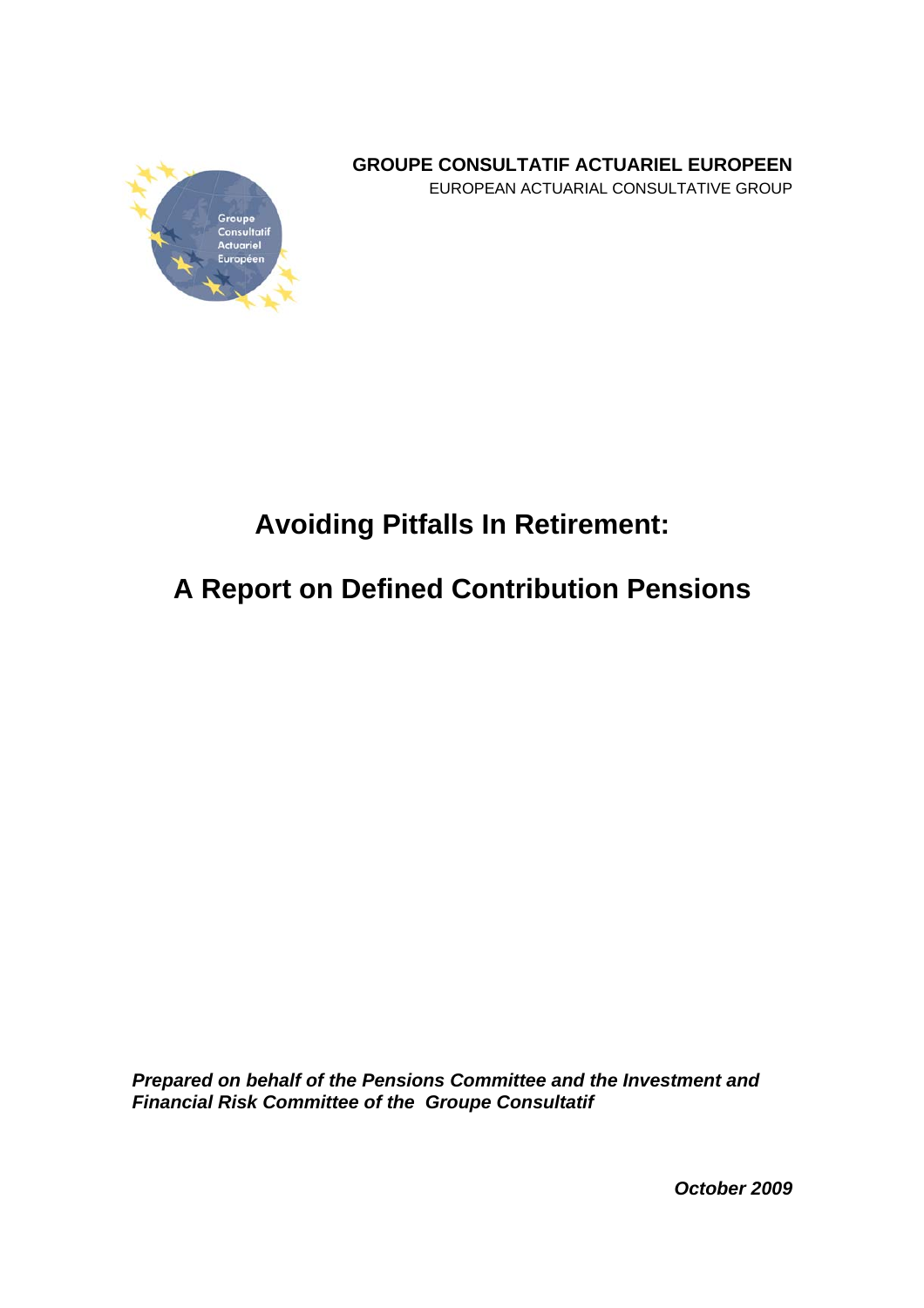

**GROUPE CONSULTATIF ACTUARIEL EUROPEEN**  EUROPEAN ACTUARIAL CONSULTATIVE GROUP

# **Avoiding Pitfalls In Retirement:**

# **A Report on Defined Contribution Pensions**

*Prepared on behalf of the Pensions Committee and the Investment and Financial Risk Committee of the Groupe Consultatif* 

*October 2009*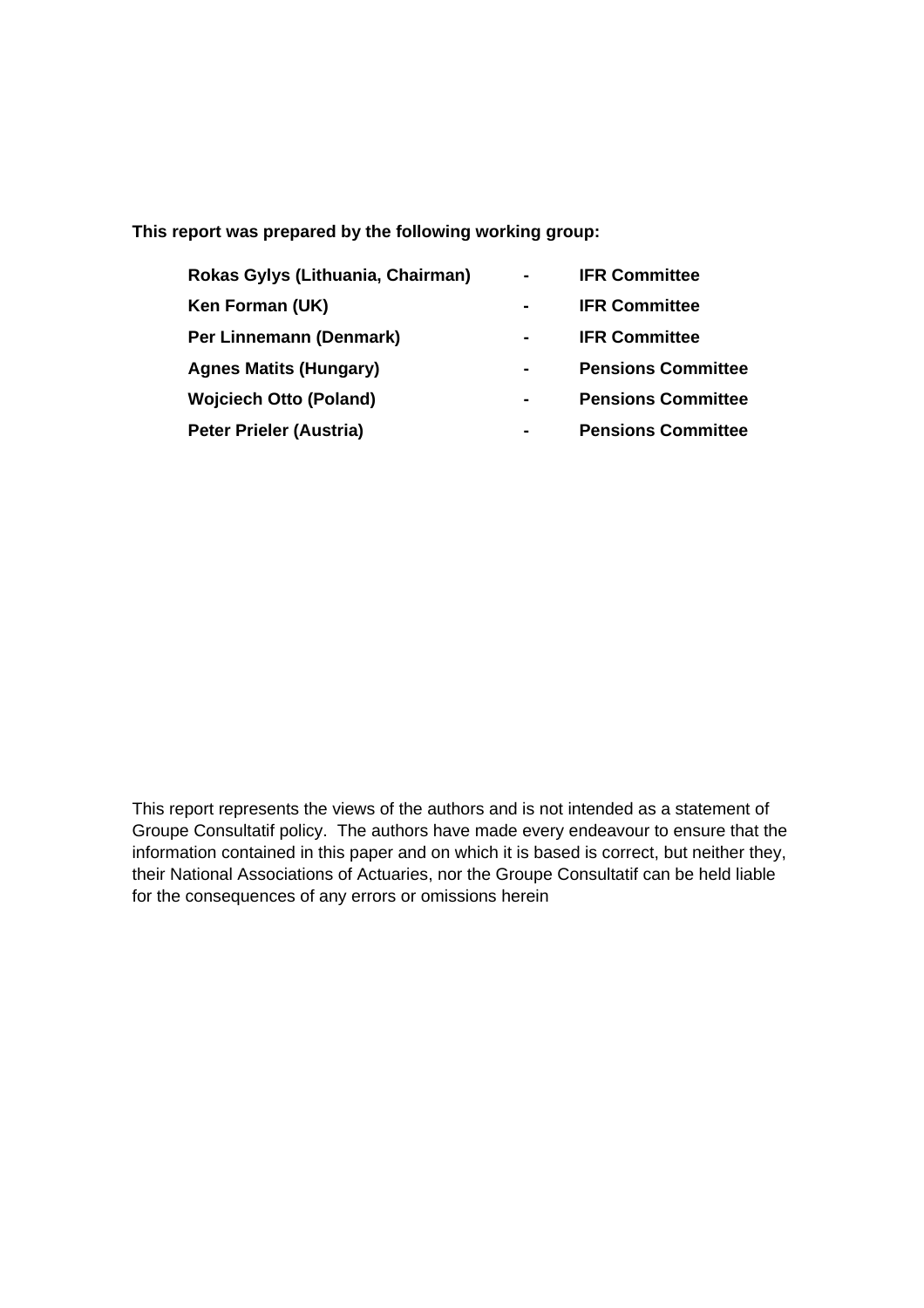**This report was prepared by the following working group:** 

|  | Rokas Gylys (Lithuania, Chairman) |  |
|--|-----------------------------------|--|
|  |                                   |  |

- **Ken Forman (UK) IFR Committee**
- **Per Linnemann (Denmark) IFR Committee**
- 
- 
- 
- **- IFR Committee**
- 
- 
- **Agnes Matits (Hungary) Pensions Committee**
- **Wojciech Otto (Poland) Pensions Committee**
- Peter Prieler (Austria) **Fig. 2** Pensions Committee

This report represents the views of the authors and is not intended as a statement of Groupe Consultatif policy. The authors have made every endeavour to ensure that the information contained in this paper and on which it is based is correct, but neither they, their National Associations of Actuaries, nor the Groupe Consultatif can be held liable for the consequences of any errors or omissions herein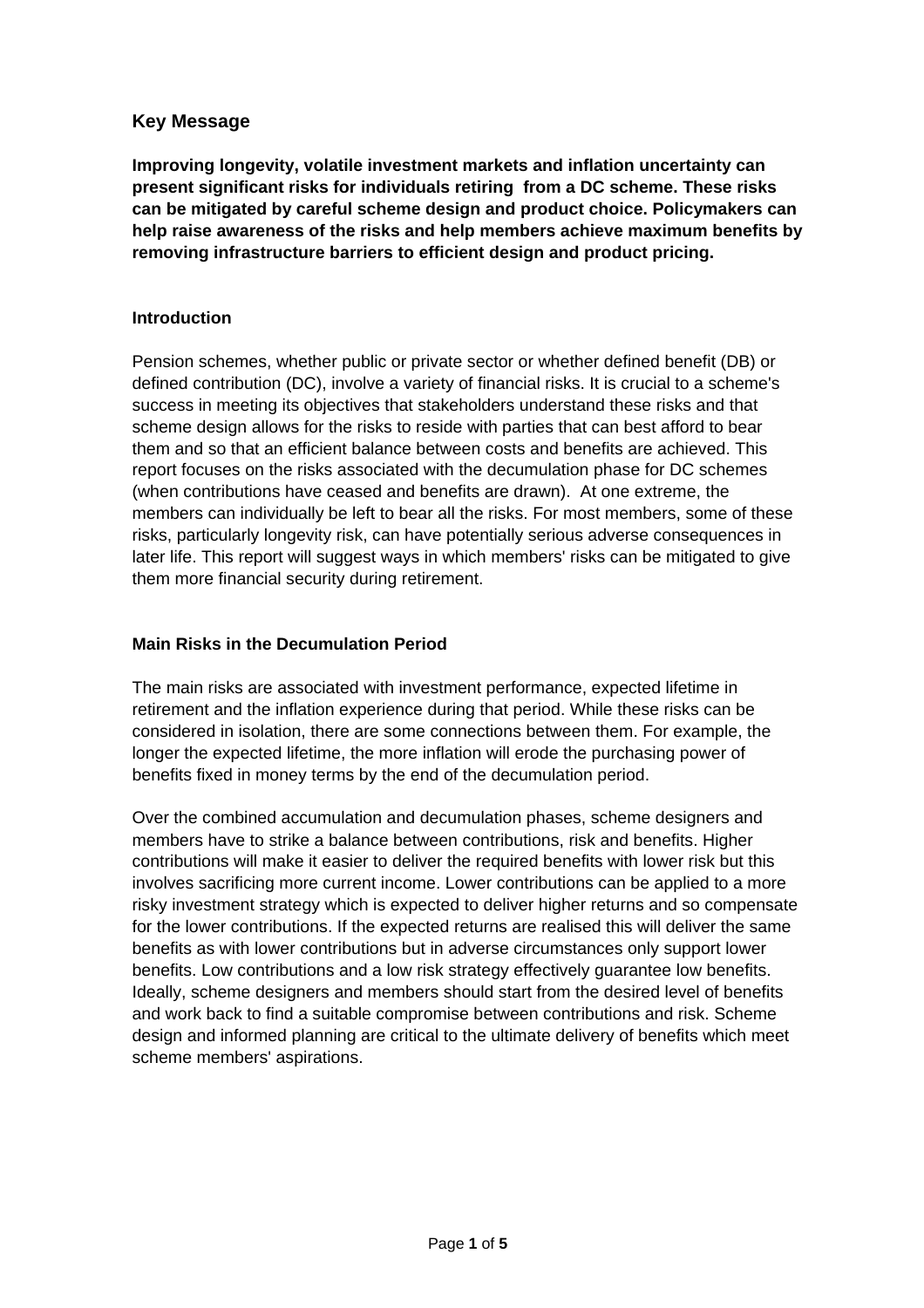## **Key Message**

**Improving longevity, volatile investment markets and inflation uncertainty can present significant risks for individuals retiring from a DC scheme. These risks can be mitigated by careful scheme design and product choice. Policymakers can help raise awareness of the risks and help members achieve maximum benefits by removing infrastructure barriers to efficient design and product pricing.** 

### **Introduction**

Pension schemes, whether public or private sector or whether defined benefit (DB) or defined contribution (DC), involve a variety of financial risks. It is crucial to a scheme's success in meeting its objectives that stakeholders understand these risks and that scheme design allows for the risks to reside with parties that can best afford to bear them and so that an efficient balance between costs and benefits are achieved. This report focuses on the risks associated with the decumulation phase for DC schemes (when contributions have ceased and benefits are drawn). At one extreme, the members can individually be left to bear all the risks. For most members, some of these risks, particularly longevity risk, can have potentially serious adverse consequences in later life. This report will suggest ways in which members' risks can be mitigated to give them more financial security during retirement.

#### **Main Risks in the Decumulation Period**

The main risks are associated with investment performance, expected lifetime in retirement and the inflation experience during that period. While these risks can be considered in isolation, there are some connections between them. For example, the longer the expected lifetime, the more inflation will erode the purchasing power of benefits fixed in money terms by the end of the decumulation period.

Over the combined accumulation and decumulation phases, scheme designers and members have to strike a balance between contributions, risk and benefits. Higher contributions will make it easier to deliver the required benefits with lower risk but this involves sacrificing more current income. Lower contributions can be applied to a more risky investment strategy which is expected to deliver higher returns and so compensate for the lower contributions. If the expected returns are realised this will deliver the same benefits as with lower contributions but in adverse circumstances only support lower benefits. Low contributions and a low risk strategy effectively guarantee low benefits. Ideally, scheme designers and members should start from the desired level of benefits and work back to find a suitable compromise between contributions and risk. Scheme design and informed planning are critical to the ultimate delivery of benefits which meet scheme members' aspirations.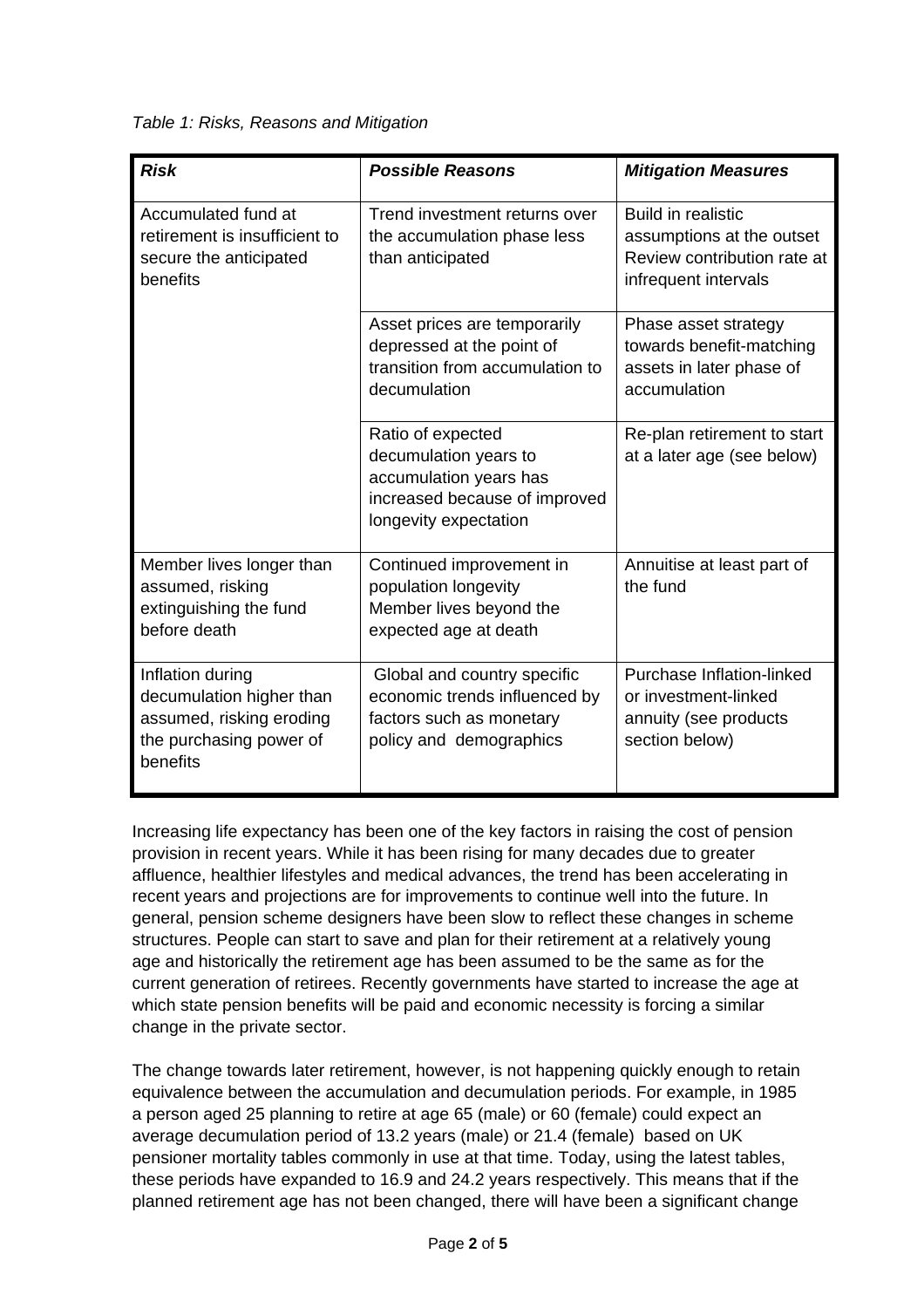*Table 1: Risks, Reasons and Mitigation*

| <b>Risk</b>                                                                                                     | <b>Possible Reasons</b>                                                                                                        | <b>Mitigation Measures</b>                                                                                    |
|-----------------------------------------------------------------------------------------------------------------|--------------------------------------------------------------------------------------------------------------------------------|---------------------------------------------------------------------------------------------------------------|
| Accumulated fund at<br>retirement is insufficient to<br>secure the anticipated<br>benefits                      | Trend investment returns over<br>the accumulation phase less<br>than anticipated                                               | <b>Build in realistic</b><br>assumptions at the outset<br>Review contribution rate at<br>infrequent intervals |
|                                                                                                                 | Asset prices are temporarily<br>depressed at the point of<br>transition from accumulation to<br>decumulation                   | Phase asset strategy<br>towards benefit-matching<br>assets in later phase of<br>accumulation                  |
|                                                                                                                 | Ratio of expected<br>decumulation years to<br>accumulation years has<br>increased because of improved<br>longevity expectation | Re-plan retirement to start<br>at a later age (see below)                                                     |
| Member lives longer than<br>assumed, risking<br>extinguishing the fund<br>before death                          | Continued improvement in<br>population longevity<br>Member lives beyond the<br>expected age at death                           | Annuitise at least part of<br>the fund                                                                        |
| Inflation during<br>decumulation higher than<br>assumed, risking eroding<br>the purchasing power of<br>benefits | Global and country specific<br>economic trends influenced by<br>factors such as monetary<br>policy and demographics            | Purchase Inflation-linked<br>or investment-linked<br>annuity (see products<br>section below)                  |

Increasing life expectancy has been one of the key factors in raising the cost of pension provision in recent years. While it has been rising for many decades due to greater affluence, healthier lifestyles and medical advances, the trend has been accelerating in recent years and projections are for improvements to continue well into the future. In general, pension scheme designers have been slow to reflect these changes in scheme structures. People can start to save and plan for their retirement at a relatively young age and historically the retirement age has been assumed to be the same as for the current generation of retirees. Recently governments have started to increase the age at which state pension benefits will be paid and economic necessity is forcing a similar change in the private sector.

The change towards later retirement, however, is not happening quickly enough to retain equivalence between the accumulation and decumulation periods. For example, in 1985 a person aged 25 planning to retire at age 65 (male) or 60 (female) could expect an average decumulation period of 13.2 years (male) or 21.4 (female) based on UK pensioner mortality tables commonly in use at that time. Today, using the latest tables, these periods have expanded to 16.9 and 24.2 years respectively. This means that if the planned retirement age has not been changed, there will have been a significant change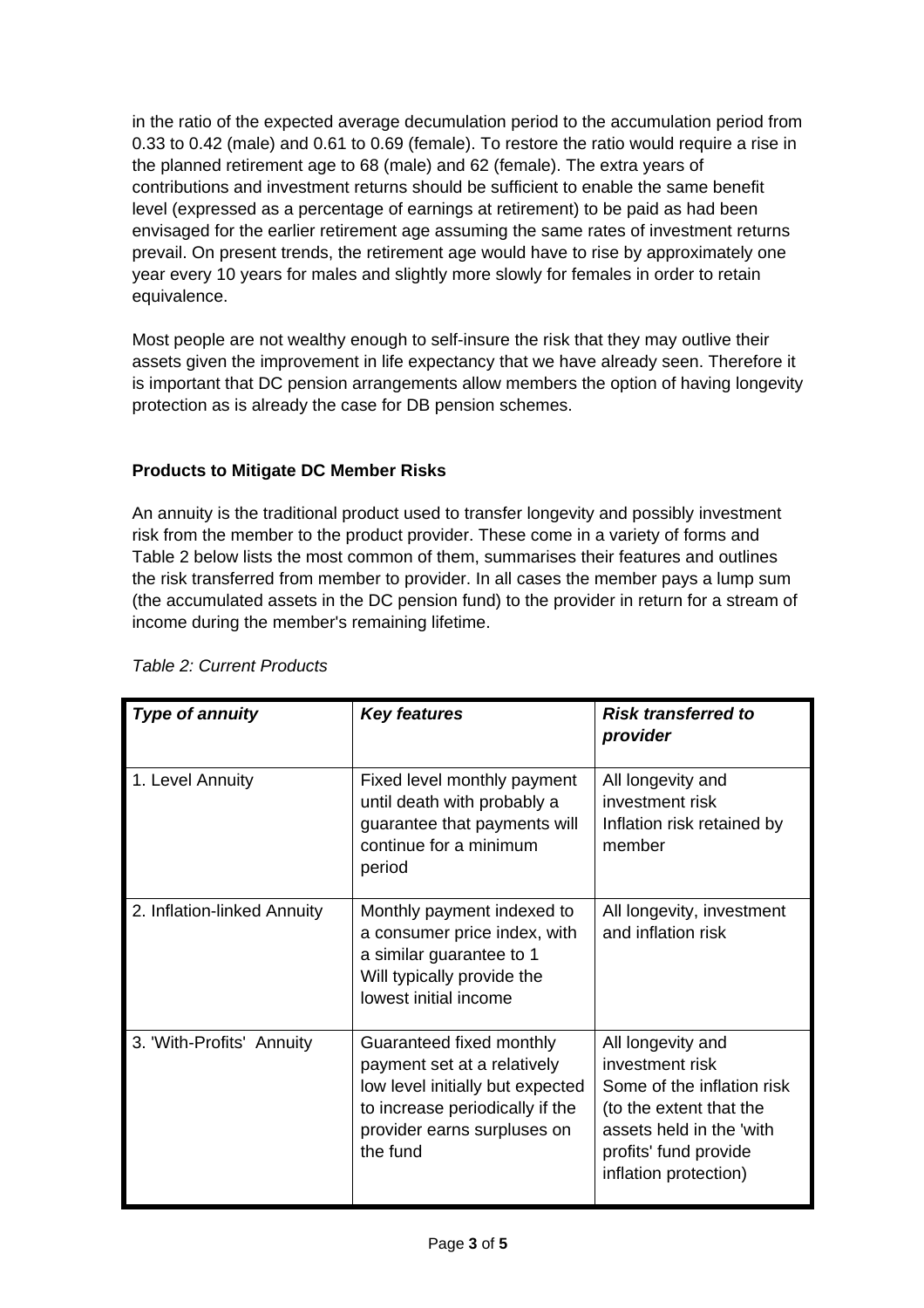in the ratio of the expected average decumulation period to the accumulation period from 0.33 to 0.42 (male) and 0.61 to 0.69 (female). To restore the ratio would require a rise in the planned retirement age to 68 (male) and 62 (female). The extra years of contributions and investment returns should be sufficient to enable the same benefit level (expressed as a percentage of earnings at retirement) to be paid as had been envisaged for the earlier retirement age assuming the same rates of investment returns prevail. On present trends, the retirement age would have to rise by approximately one year every 10 years for males and slightly more slowly for females in order to retain equivalence.

Most people are not wealthy enough to self-insure the risk that they may outlive their assets given the improvement in life expectancy that we have already seen. Therefore it is important that DC pension arrangements allow members the option of having longevity protection as is already the case for DB pension schemes.

## **Products to Mitigate DC Member Risks**

An annuity is the traditional product used to transfer longevity and possibly investment risk from the member to the product provider. These come in a variety of forms and Table 2 below lists the most common of them, summarises their features and outlines the risk transferred from member to provider. In all cases the member pays a lump sum (the accumulated assets in the DC pension fund) to the provider in return for a stream of income during the member's remaining lifetime.

| Type of annuity             | <b>Key features</b>                                                                                                                                                       | <b>Risk transferred to</b><br>provider                                                                                                                                      |
|-----------------------------|---------------------------------------------------------------------------------------------------------------------------------------------------------------------------|-----------------------------------------------------------------------------------------------------------------------------------------------------------------------------|
| 1. Level Annuity            | Fixed level monthly payment<br>until death with probably a<br>guarantee that payments will<br>continue for a minimum<br>period                                            | All longevity and<br>investment risk<br>Inflation risk retained by<br>member                                                                                                |
| 2. Inflation-linked Annuity | Monthly payment indexed to<br>a consumer price index, with<br>a similar guarantee to 1<br>Will typically provide the<br>lowest initial income                             | All longevity, investment<br>and inflation risk                                                                                                                             |
| 3. 'With-Profits' Annuity   | Guaranteed fixed monthly<br>payment set at a relatively<br>low level initially but expected<br>to increase periodically if the<br>provider earns surpluses on<br>the fund | All longevity and<br>investment risk<br>Some of the inflation risk<br>(to the extent that the<br>assets held in the 'with<br>profits' fund provide<br>inflation protection) |

*Table 2: Current Products*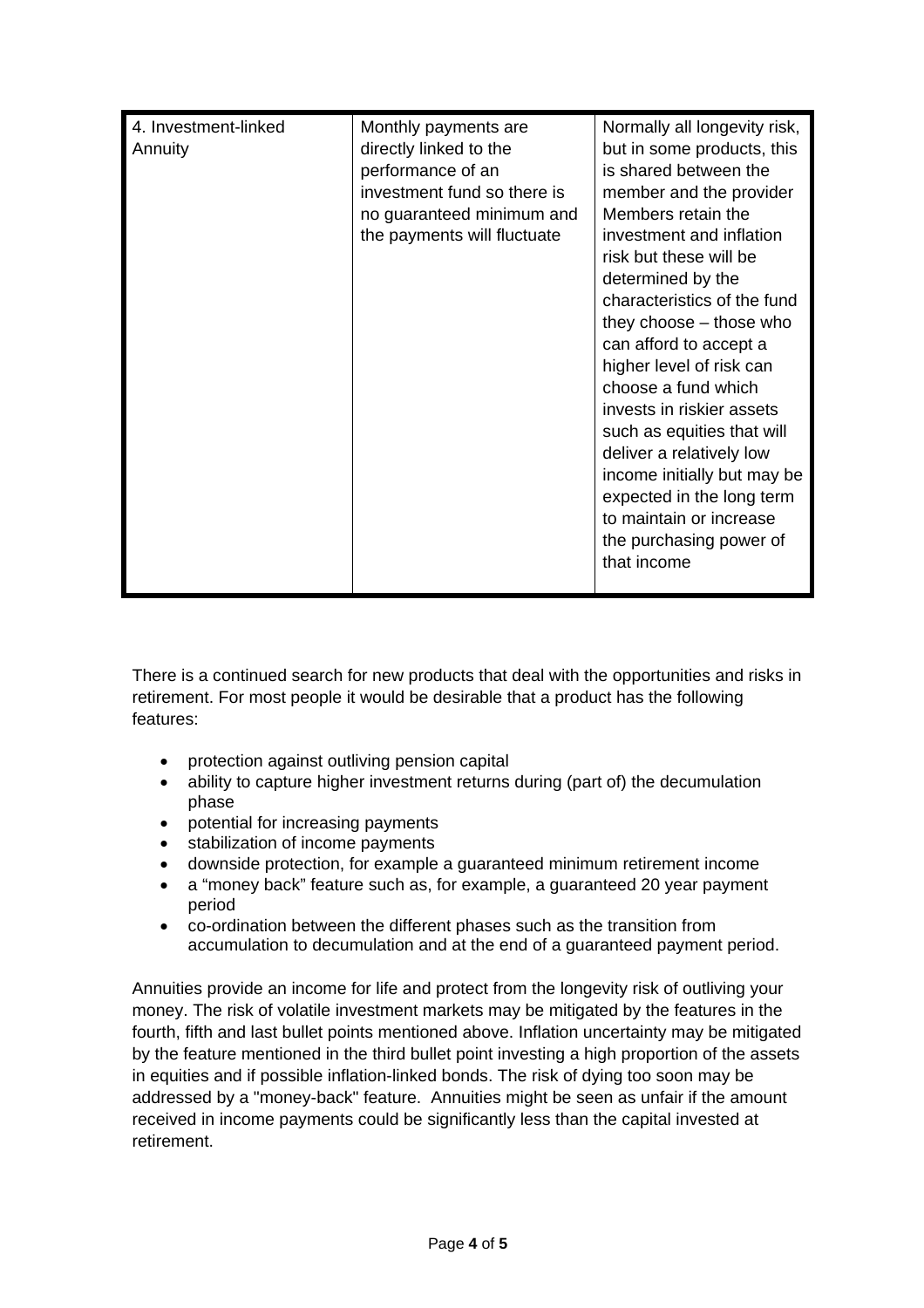| 4. Investment-linked<br>Annuity | Monthly payments are.<br>directly linked to the<br>performance of an<br>investment fund so there is<br>no guaranteed minimum and<br>the payments will fluctuate | Normally all longevity risk,<br>but in some products, this<br>is shared between the<br>member and the provider<br>Members retain the<br>investment and inflation<br>risk but these will be<br>determined by the<br>characteristics of the fund<br>they choose – those who<br>can afford to accept a<br>higher level of risk can<br>choose a fund which<br>invests in riskier assets<br>such as equities that will<br>deliver a relatively low<br>income initially but may be<br>expected in the long term<br>to maintain or increase<br>the purchasing power of<br>that income |
|---------------------------------|-----------------------------------------------------------------------------------------------------------------------------------------------------------------|--------------------------------------------------------------------------------------------------------------------------------------------------------------------------------------------------------------------------------------------------------------------------------------------------------------------------------------------------------------------------------------------------------------------------------------------------------------------------------------------------------------------------------------------------------------------------------|
|---------------------------------|-----------------------------------------------------------------------------------------------------------------------------------------------------------------|--------------------------------------------------------------------------------------------------------------------------------------------------------------------------------------------------------------------------------------------------------------------------------------------------------------------------------------------------------------------------------------------------------------------------------------------------------------------------------------------------------------------------------------------------------------------------------|

There is a continued search for new products that deal with the opportunities and risks in retirement. For most people it would be desirable that a product has the following features:

- protection against outliving pension capital
- ability to capture higher investment returns during (part of) the decumulation phase
- potential for increasing payments
- stabilization of income payments
- downside protection, for example a guaranteed minimum retirement income
- a "money back" feature such as, for example, a guaranteed 20 year payment period
- co-ordination between the different phases such as the transition from accumulation to decumulation and at the end of a guaranteed payment period.

Annuities provide an income for life and protect from the longevity risk of outliving your money. The risk of volatile investment markets may be mitigated by the features in the fourth, fifth and last bullet points mentioned above. Inflation uncertainty may be mitigated by the feature mentioned in the third bullet point investing a high proportion of the assets in equities and if possible inflation-linked bonds. The risk of dying too soon may be addressed by a "money-back" feature. Annuities might be seen as unfair if the amount received in income payments could be significantly less than the capital invested at retirement.